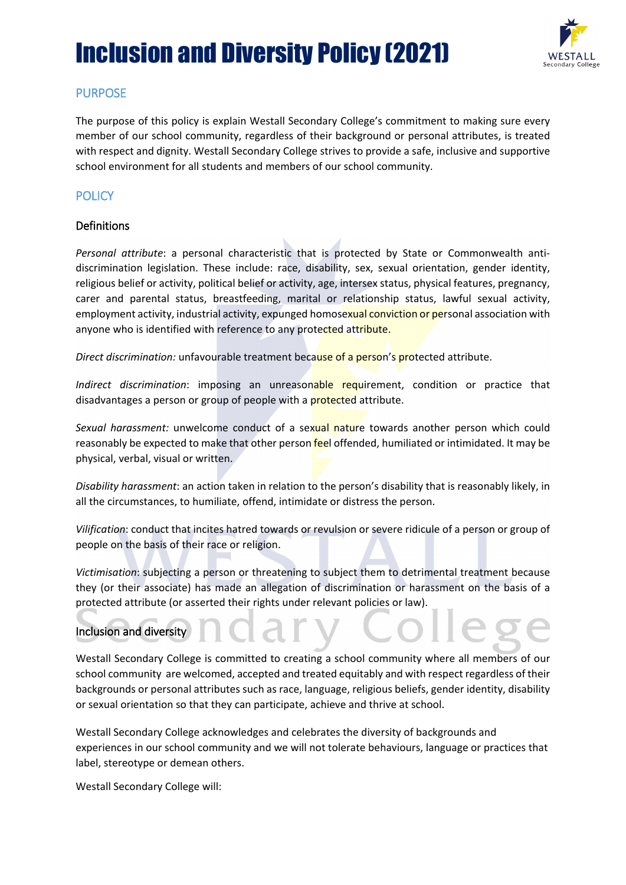# Inclusion and Diversity Policy (2021)



## PURPOSE

The purpose of this policy is explain Westall Secondary College's commitment to making sure every member of our school community, regardless of their background or personal attributes, is treated with respect and dignity. Westall Secondary College strives to provide a safe, inclusive and supportive school environment for all students and members of our school community.

## **POLICY**

#### **Definitions**

*Personal attribute*: a personal characteristic that is protected by State or Commonwealth antidiscrimination legislation. These include: race, disability, sex, sexual orientation, gender identity, religious belief or activity, political belief or activity, age, intersex status, physical features, pregnancy, carer and parental status, breastfeeding, marital or relationship status, lawful sexual activity, employment activity, industrial activity, expunged homosexual conviction or personal association with anyone who is identified with reference to any protected attribute.

*Direct discrimination:* unfavourable treatment because of a person's protected attribute.

*Indirect discrimination*: imposing an unreasonable requirement, condition or practice that disadvantages a person or group of people with a **protected** attribute.

Sexual harassment: unwelcome conduct of a sexual nature towards another person which could reasonably be expected to make that other person feel offended, humiliated or intimidated. It may be physical, verbal, visual or written.

*Disability harassment*: an action taken in relation to the person's disability that is reasonably likely, in all the circumstances, to humiliate, offend, intimidate or distress the person.

*Vilification*: conduct that incites hatred towards or revulsion or severe ridicule of a person or group of people on the basis of their race or religion.

*Victimisation*: subjecting a person or threatening to subject them to detrimental treatment because they (or their associate) has made an allegation of discrimination or harassment on the basis of a protected attribute (or asserted their rights under relevant policies or law).

### Inclusion and diversity

Westall Secondary College is committed to creating a school community where all members of our school community are welcomed, accepted and treated equitably and with respect regardless of their backgrounds or personal attributes such as race, language, religious beliefs, gender identity, disability or sexual orientation so that they can participate, achieve and thrive at school.

Westall Secondary College acknowledges and celebrates the diversity of backgrounds and experiences in our school community and we will not tolerate behaviours, language or practices that label, stereotype or demean others.

Westall Secondary College will: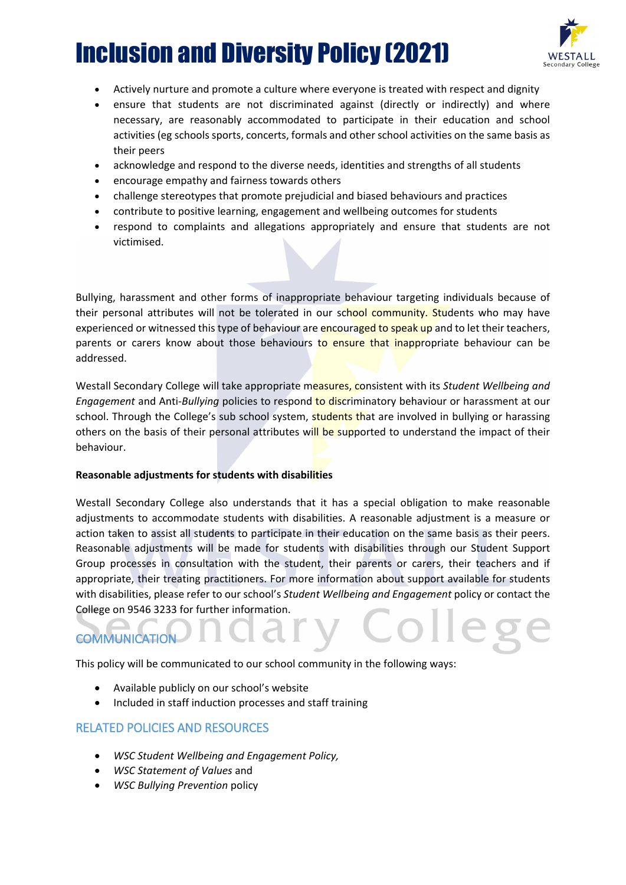# Inclusion and Diversity Policy (2021)



- Actively nurture and promote a culture where everyone is treated with respect and dignity
- ensure that students are not discriminated against (directly or indirectly) and where necessary, are reasonably accommodated to participate in their education and school activities (eg schools sports, concerts, formals and other school activities on the same basis as their peers
- acknowledge and respond to the diverse needs, identities and strengths of all students
- encourage empathy and fairness towards others
- challenge stereotypes that promote prejudicial and biased behaviours and practices
- contribute to positive learning, engagement and wellbeing outcomes for students
- respond to complaints and allegations appropriately and ensure that students are not victimised.

Bullying, harassment and other forms of inappropriate behaviour targeting individuals because of their personal attributes will not be tolerated in our school community. Students who may have experienced or witnessed this type of behaviour are encouraged to speak up and to let their teachers, parents or carers know about those behaviours to ensure that inappropriate behaviour can be addressed.

Westall Secondary College will take appropriate measures, consistent with its *Student Wellbeing and Engagement* and Anti-*Bullying* policies to respond to discriminatory behaviour or harassment at our school. Through the College's sub school system, students that are involved in bullying or harassing others on the basis of their personal attributes will be supported to understand the impact of their behaviour.

#### **Reasonable adjustments for students with disabilities**

Westall Secondary College also understands that it has a special obligation to make reasonable adjustments to accommodate students with disabilities. A reasonable adjustment is a measure or action taken to assist all students to participate in their education on the same basis as their peers. Reasonable adjustments will be made for students with disabilities through our Student Support Group processes in consultation with the student, their parents or carers, their teachers and if appropriate, their treating practitioners. For more information about support available for students with disabilities, please refer to our school's *Student Wellbeing and Engagement* policy or contact the College on 9546 3233 for further information.

## **COMMUNICATION**

This policy will be communicated to our school community in the following ways:

- Available publicly on our school's website
- Included in staff induction processes and staff training

#### RELATED POLICIES AND RESOURCES

- *WSC Student Wellbeing and Engagement Policy,*
- *WSC Statement of Values* and
- *WSC Bullying Prevention* policy